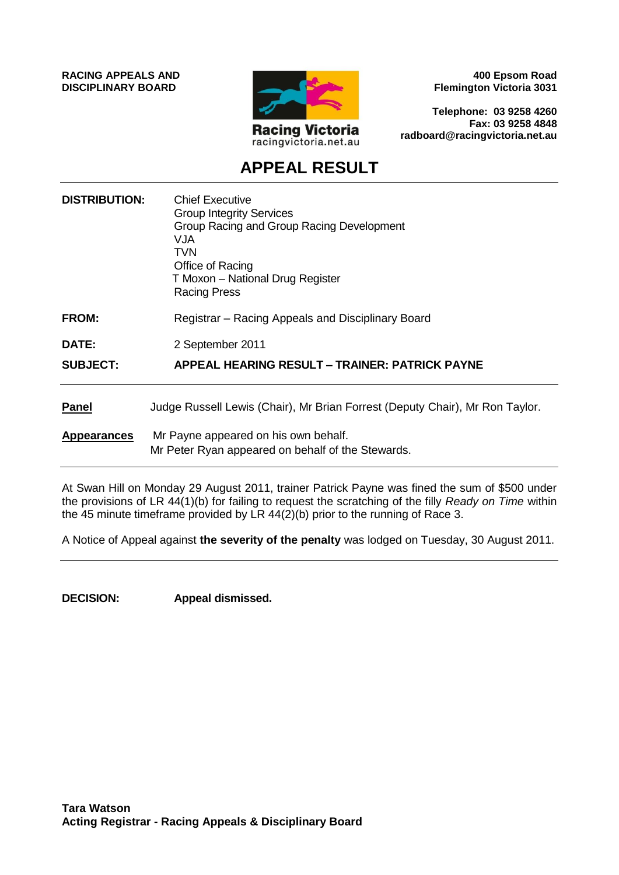**RACING APPEALS AND DISCIPLINARY BOARD**



**400 Epsom Road Flemington Victoria 3031**

**Telephone: 03 9258 4260 Fax: 03 9258 4848 radboard@racingvictoria.net.au**

# **APPEAL RESULT**

| <b>DISTRIBUTION:</b> | <b>Chief Executive</b><br><b>Group Integrity Services</b><br>Group Racing and Group Racing Development<br>VJA<br>TVN<br>Office of Racing<br>T Moxon – National Drug Register<br><b>Racing Press</b> |
|----------------------|-----------------------------------------------------------------------------------------------------------------------------------------------------------------------------------------------------|
| <b>FROM:</b>         | Registrar – Racing Appeals and Disciplinary Board                                                                                                                                                   |
| <b>DATE:</b>         | 2 September 2011                                                                                                                                                                                    |
| <b>SUBJECT:</b>      | <b>APPEAL HEARING RESULT – TRAINER: PATRICK PAYNE</b>                                                                                                                                               |
| <b>Panel</b>         | Judge Russell Lewis (Chair), Mr Brian Forrest (Deputy Chair), Mr Ron Taylor.                                                                                                                        |
| <b>Appearances</b>   | Mr Payne appeared on his own behalf.<br>Mr Peter Ryan appeared on behalf of the Stewards.                                                                                                           |

At Swan Hill on Monday 29 August 2011, trainer Patrick Payne was fined the sum of \$500 under the provisions of LR 44(1)(b) for failing to request the scratching of the filly *Ready on Time* within the 45 minute timeframe provided by LR 44(2)(b) prior to the running of Race 3.

A Notice of Appeal against **the severity of the penalty** was lodged on Tuesday, 30 August 2011.

**DECISION: Appeal dismissed.**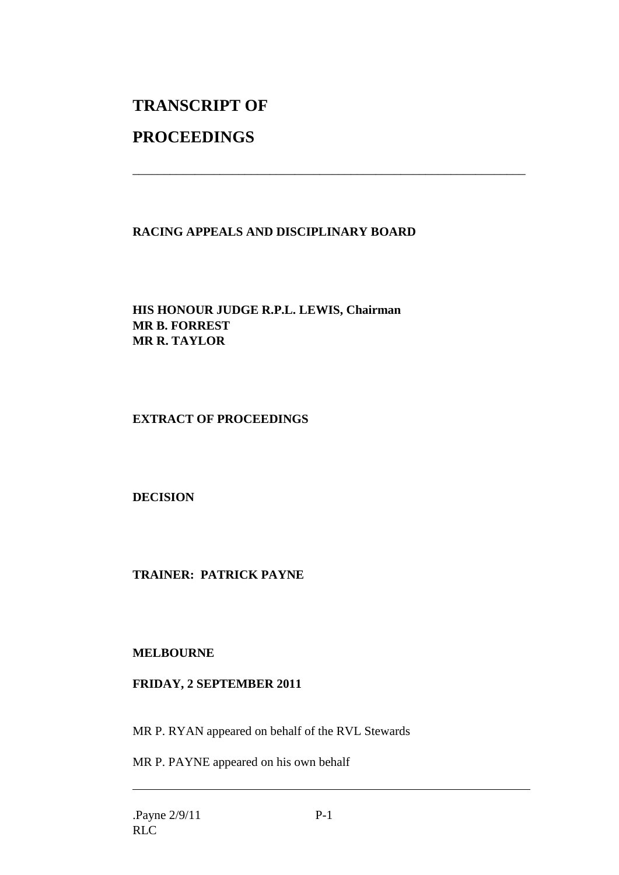# **TRANSCRIPT OF**

# **PROCEEDINGS**

## **RACING APPEALS AND DISCIPLINARY BOARD**

\_\_\_\_\_\_\_\_\_\_\_\_\_\_\_\_\_\_\_\_\_\_\_\_\_\_\_\_\_\_\_\_\_\_\_\_\_\_\_\_\_\_\_\_\_\_\_\_\_\_\_\_\_\_\_\_\_\_\_\_\_\_\_

## **HIS HONOUR JUDGE R.P.L. LEWIS, Chairman MR B. FORREST MR R. TAYLOR**

## **EXTRACT OF PROCEEDINGS**

## **DECISION**

## **TRAINER: PATRICK PAYNE**

#### **MELBOURNE**

#### **FRIDAY, 2 SEPTEMBER 2011**

MR P. RYAN appeared on behalf of the RVL Stewards

MR P. PAYNE appeared on his own behalf